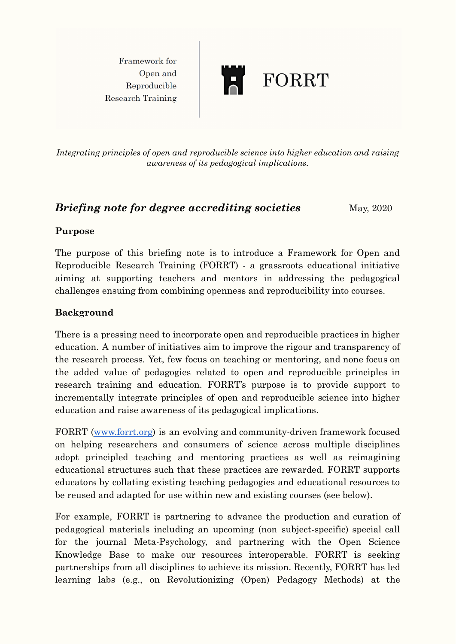Framework for Open and Reproducible **Research Training** 



*Integrating principles of open and reproducible science into higher education and raising awareness of its pedagogical implications.*

# *Briefing note for degree accrediting societies* **May, 2020**

#### **Purpose**

The purpose of this briefing note is to introduce a Framework for Open and Reproducible Research Training (FORRT) - a grassroots educational initiative aiming at supporting teachers and mentors in addressing the pedagogical challenges ensuing from combining openness and reproducibility into courses.

# **Background**

There is a pressing need to incorporate open and reproducible practices in higher education. A number of initiatives aim to improve the rigour and transparency of the research process. Yet, few focus on teaching or mentoring, and none focus on the added value of pedagogies related to open and reproducible principles in research training and education. FORRT's purpose is to provide support to incrementally integrate principles of open and reproducible science into higher education and raise awareness of its pedagogical implications.

FORRT ([www.forrt.org](http://www.forrt.org)) is an evolving and community-driven framework focused on helping researchers and consumers of science across multiple disciplines adopt principled teaching and mentoring practices as well as reimagining educational structures such that these practices are rewarded. FORRT supports educators by collating existing teaching pedagogies and educational resources to be reused and adapted for use within new and existing courses (see below).

For example, FORRT is partnering to advance the production and curation of pedagogical materials including an upcoming (non subject-specific) special call for the journal Meta-Psychology, and partnering with the Open Science Knowledge Base to make our resources interoperable. FORRT is seeking partnerships from all disciplines to achieve its mission. Recently, FORRT has led learning labs (e.g., on Revolutionizing (Open) Pedagogy Methods) at the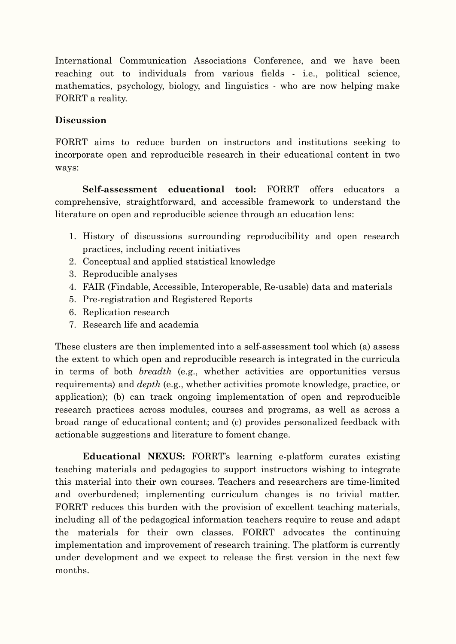International Communication Associations Conference, and we have been reaching out to individuals from various fields - i.e., political science, mathematics, psychology, biology, and linguistics - who are now helping make FORRT a reality.

### **Discussion**

FORRT aims to reduce burden on instructors and institutions seeking to incorporate open and reproducible research in their educational content in two ways:

**Self-assessment educational tool:** FORRT offers educators a comprehensive, straightforward, and accessible framework to understand the literature on open and reproducible science through an education lens:

- 1. History of discussions surrounding reproducibility and open research practices, including recent initiatives
- 2. Conceptual and applied statistical knowledge
- 3. Reproducible analyses
- 4. FAIR (Findable, Accessible, Interoperable, Re-usable) data and materials
- 5. Pre-registration and Registered Reports
- 6. Replication research
- 7. Research life and academia

These clusters are then implemented into a self-assessment tool which (a) assess the extent to which open and reproducible research is integrated in the curricula in terms of both *breadth* (e.g., whether activities are opportunities versus requirements) and *depth* (e.g., whether activities promote knowledge, practice, or application); (b) can track ongoing implementation of open and reproducible research practices across modules, courses and programs, as well as across a broad range of educational content; and (c) provides personalized feedback with actionable suggestions and literature to foment change.

**Educational NEXUS:** FORRT's learning e-platform curates existing teaching materials and pedagogies to support instructors wishing to integrate this material into their own courses. Teachers and researchers are time-limited and overburdened; implementing curriculum changes is no trivial matter. FORRT reduces this burden with the provision of excellent teaching materials, including all of the pedagogical information teachers require to reuse and adapt the materials for their own classes. FORRT advocates the continuing implementation and improvement of research training. The platform is currently under development and we expect to release the first version in the next few months.